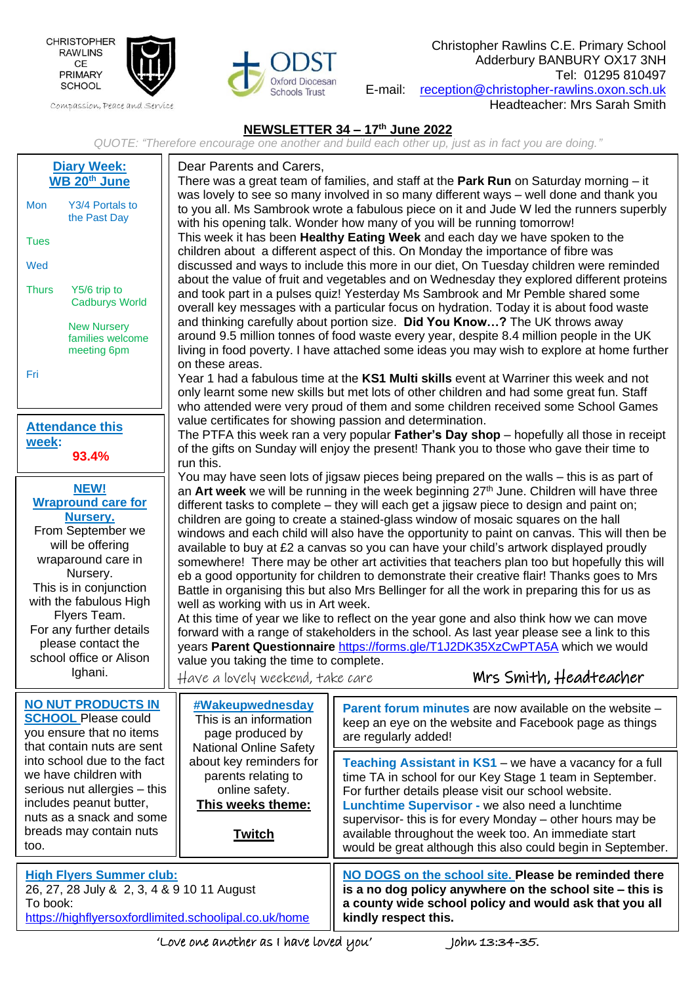

Compassion, Peace and Service



Christopher Rawlins C.E. Primary School Adderbury BANBURY OX17 3NH Tel: 01295 810497 E-mail: [reception@christopher-rawlins.oxon.sch.uk](mailto:reception@christopher-rawlins.oxon.sch.uk)

Headteacher: Mrs Sarah Smith

## **NEWSLETTER 34 – 17 th June 2022**

*QUOTE: "Therefore encourage one another and build each other up, just as in fact you are doing."*

| <b>Diary Week:</b><br>WB 20 <sup>th</sup> June<br>Y3/4 Portals to<br>Mon<br>the Past Day<br><b>Tues</b><br>Wed<br><b>Thurs</b><br>Y5/6 trip to<br><b>Cadburys World</b><br><b>New Nursery</b><br>families welcome<br>meeting 6pm<br>Fri<br><b>Attendance this</b><br>week:<br>93.4%        | Dear Parents and Carers,<br>There was a great team of families, and staff at the <b>Park Run</b> on Saturday morning $-$ it<br>was lovely to see so many involved in so many different ways – well done and thank you<br>to you all. Ms Sambrook wrote a fabulous piece on it and Jude W led the runners superbly<br>with his opening talk. Wonder how many of you will be running tomorrow!<br>This week it has been <b>Healthy Eating Week</b> and each day we have spoken to the<br>children about a different aspect of this. On Monday the importance of fibre was<br>discussed and ways to include this more in our diet, On Tuesday children were reminded<br>about the value of fruit and vegetables and on Wednesday they explored different proteins<br>and took part in a pulses quiz! Yesterday Ms Sambrook and Mr Pemble shared some<br>overall key messages with a particular focus on hydration. Today it is about food waste<br>and thinking carefully about portion size. Did You Know? The UK throws away<br>around 9.5 million tonnes of food waste every year, despite 8.4 million people in the UK<br>living in food poverty. I have attached some ideas you may wish to explore at home further<br>on these areas.<br>Year 1 had a fabulous time at the KS1 Multi skills event at Warriner this week and not<br>only learnt some new skills but met lots of other children and had some great fun. Staff<br>who attended were very proud of them and some children received some School Games<br>value certificates for showing passion and determination.<br>The PTFA this week ran a very popular Father's Day shop - hopefully all those in receipt<br>of the gifts on Sunday will enjoy the present! Thank you to those who gave their time to<br>run this.<br>You may have seen lots of jigsaw pieces being prepared on the walls – this is as part of<br>an Art week we will be running in the week beginning 27 <sup>th</sup> June. Children will have three<br>different tasks to complete – they will each get a jigsaw piece to design and paint on;<br>children are going to create a stained-glass window of mosaic squares on the hall<br>windows and each child will also have the opportunity to paint on canvas. This will then be<br>available to buy at £2 a canvas so you can have your child's artwork displayed proudly<br>somewhere! There may be other art activities that teachers plan too but hopefully this will<br>eb a good opportunity for children to demonstrate their creative flair! Thanks goes to Mrs<br>Battle in organising this but also Mrs Bellinger for all the work in preparing this for us as<br>well as working with us in Art week.<br>At this time of year we like to reflect on the year gone and also think how we can move<br>forward with a range of stakeholders in the school. As last year please see a link to this<br>years Parent Questionnaire https://forms.gle/T1J2DK35XzCwPTA5A which we would<br>value you taking the time to complete.<br>Mrs Smith, Headteacher<br>Have a lovely weekend, take care |                                                                                                                                                                                                                                                                                                                                                                                                                      |
|--------------------------------------------------------------------------------------------------------------------------------------------------------------------------------------------------------------------------------------------------------------------------------------------|--------------------------------------------------------------------------------------------------------------------------------------------------------------------------------------------------------------------------------------------------------------------------------------------------------------------------------------------------------------------------------------------------------------------------------------------------------------------------------------------------------------------------------------------------------------------------------------------------------------------------------------------------------------------------------------------------------------------------------------------------------------------------------------------------------------------------------------------------------------------------------------------------------------------------------------------------------------------------------------------------------------------------------------------------------------------------------------------------------------------------------------------------------------------------------------------------------------------------------------------------------------------------------------------------------------------------------------------------------------------------------------------------------------------------------------------------------------------------------------------------------------------------------------------------------------------------------------------------------------------------------------------------------------------------------------------------------------------------------------------------------------------------------------------------------------------------------------------------------------------------------------------------------------------------------------------------------------------------------------------------------------------------------------------------------------------------------------------------------------------------------------------------------------------------------------------------------------------------------------------------------------------------------------------------------------------------------------------------------------------------------------------------------------------------------------------------------------------------------------------------------------------------------------------------------------------------------------------------------------------------------------------------------------------------------------------------------------------------------------------------------------------------------------------------------------------------------------------------------------------------------------------------------------------------------------------------------------------------------------------------------------------------------------------------------------------------------------------|----------------------------------------------------------------------------------------------------------------------------------------------------------------------------------------------------------------------------------------------------------------------------------------------------------------------------------------------------------------------------------------------------------------------|
| <b>NEW!</b><br><b>Wrapround care for</b><br>Nursery.<br>From September we<br>will be offering<br>wraparound care in<br>Nursery.<br>This is in conjunction<br>with the fabulous High<br>Flyers Team.<br>For any further details<br>please contact the<br>school office or Alison<br>Ighani. |                                                                                                                                                                                                                                                                                                                                                                                                                                                                                                                                                                                                                                                                                                                                                                                                                                                                                                                                                                                                                                                                                                                                                                                                                                                                                                                                                                                                                                                                                                                                                                                                                                                                                                                                                                                                                                                                                                                                                                                                                                                                                                                                                                                                                                                                                                                                                                                                                                                                                                                                                                                                                                                                                                                                                                                                                                                                                                                                                                                                                                                                                            |                                                                                                                                                                                                                                                                                                                                                                                                                      |
| <b>NO NUT PRODUCTS IN</b><br><b>SCHOOL Please could</b><br>you ensure that no items<br>that contain nuts are sent                                                                                                                                                                          | #Wakeupwednesday<br>This is an information<br>page produced by<br><b>National Online Safety</b>                                                                                                                                                                                                                                                                                                                                                                                                                                                                                                                                                                                                                                                                                                                                                                                                                                                                                                                                                                                                                                                                                                                                                                                                                                                                                                                                                                                                                                                                                                                                                                                                                                                                                                                                                                                                                                                                                                                                                                                                                                                                                                                                                                                                                                                                                                                                                                                                                                                                                                                                                                                                                                                                                                                                                                                                                                                                                                                                                                                            | <b>Parent forum minutes</b> are now available on the website –<br>keep an eye on the website and Facebook page as things<br>are regularly added!                                                                                                                                                                                                                                                                     |
| into school due to the fact<br>we have children with<br>serious nut allergies - this<br>includes peanut butter,<br>nuts as a snack and some<br>breads may contain nuts<br>too.                                                                                                             | about key reminders for<br>parents relating to<br>online safety.<br>This weeks theme:<br><b>Twitch</b>                                                                                                                                                                                                                                                                                                                                                                                                                                                                                                                                                                                                                                                                                                                                                                                                                                                                                                                                                                                                                                                                                                                                                                                                                                                                                                                                                                                                                                                                                                                                                                                                                                                                                                                                                                                                                                                                                                                                                                                                                                                                                                                                                                                                                                                                                                                                                                                                                                                                                                                                                                                                                                                                                                                                                                                                                                                                                                                                                                                     | Teaching Assistant in KS1 - we have a vacancy for a full<br>time TA in school for our Key Stage 1 team in September.<br>For further details please visit our school website.<br>Lunchtime Supervisor - we also need a lunchtime<br>supervisor- this is for every Monday - other hours may be<br>available throughout the week too. An immediate start<br>would be great although this also could begin in September. |
| <b>High Flyers Summer club:</b><br>26, 27, 28 July & 2, 3, 4 & 9 10 11 August<br>To book:<br>https://highflyersoxfordlimited.schoolipal.co.uk/home                                                                                                                                         |                                                                                                                                                                                                                                                                                                                                                                                                                                                                                                                                                                                                                                                                                                                                                                                                                                                                                                                                                                                                                                                                                                                                                                                                                                                                                                                                                                                                                                                                                                                                                                                                                                                                                                                                                                                                                                                                                                                                                                                                                                                                                                                                                                                                                                                                                                                                                                                                                                                                                                                                                                                                                                                                                                                                                                                                                                                                                                                                                                                                                                                                                            | NO DOGS on the school site. Please be reminded there<br>is a no dog policy anywhere on the school site - this is<br>a county wide school policy and would ask that you all<br>kindly respect this.                                                                                                                                                                                                                   |

j